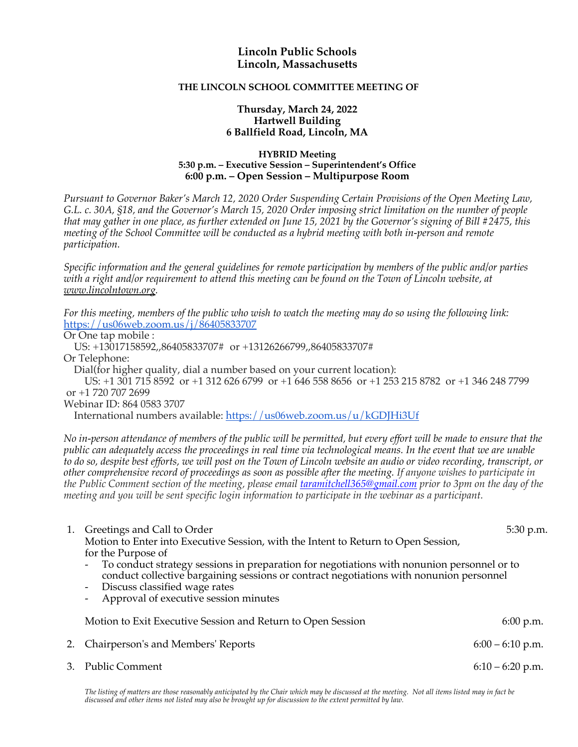## **Lincoln Public Schools Lincoln, Massachusetts**

## **THE LINCOLN SCHOOL COMMITTEE MEETING OF**

## **Thursday, March 24, 2022 Hartwell Building 6 Ballfield Road, Lincoln, MA**

## **HYBRID Meeting 5:30 p.m. – Executive Session – Superintendent's Office 6:00 p.m. – Open Session – Multipurpose Room**

*Pursuant to Governor Baker's March 12, 2020 Order Suspending Certain Provisions of the Open Meeting Law, G.L. c. 30A, §18, and the Governor's March 15, 2020 Order imposing strict limitation on the number of people that may gather in one place, as further extended on June 15, 2021 by the Governor's signing of Bill #2475, this meeting of the School Committee will be conducted as a hybrid meeting with both in-person and remote participation.*

*Specific information and the general guidelines for remote participation by members of the public and/or parties with a right and/or requirement to attend this meeting can be found on the Town of Lincoln website, at www.lincolntown.org.*

*For this meeting, members of the public who wish to watch the meeting may do so using the following link:* https://us06web.zoom.us/j/86405833707

Or One tap mobile :

US: +13017158592,,86405833707# or +13126266799,,86405833707#

Or Telephone:

Dial(for higher quality, dial a number based on your current location):

US: +1 301 715 8592 or +1 312 626 6799 or +1 646 558 8656 or +1 253 215 8782 or +1 346 248 7799 or +1 720 707 2699

Webinar ID: 864 0583 3707

International numbers available: https://us06web.zoom.us/u/kGDJHi3Uf

*No in-person attendance of members of the public will be permitted, but every effort will be made to ensure that the public can adequately access the proceedings in real time via technological means. In the event that we are unable to do so, despite best efforts, we will post on the Town of Lincoln website an audio or video recording, transcript, or other comprehensive record of proceedings as soon as possible after the meeting. If anyone wishes to participate in the Public Comment section of the meeting, please email taramitchell365@gmail.com prior to 3pm on the day of the meeting and you will be sent specific login information to participate in the webinar as a participant.*

|    | 1. Greetings and Call to Order                                                                                                                                                                                             | 5:30 p.m.          |
|----|----------------------------------------------------------------------------------------------------------------------------------------------------------------------------------------------------------------------------|--------------------|
|    | Motion to Enter into Executive Session, with the Intent to Return to Open Session,                                                                                                                                         |                    |
|    | for the Purpose of                                                                                                                                                                                                         |                    |
|    | - To conduct strategy sessions in preparation for negotiations with nonunion personnel or to<br>conduct collective bargaining sessions or contract negotiations with nonunion personnel<br>- Discuss classified wage rates |                    |
|    | Approval of executive session minutes                                                                                                                                                                                      |                    |
|    | Motion to Exit Executive Session and Return to Open Session                                                                                                                                                                | 6:00 p.m.          |
| 2. | Chairperson's and Members' Reports                                                                                                                                                                                         | $6:00 - 6:10$ p.m. |
|    | 3. Public Comment                                                                                                                                                                                                          | $6:10 - 6:20$ p.m. |

The listing of matters are those reasonably anticipated by the Chair which may be discussed at the meeting. Not all items listed may in fact be *discussed and other items not listed may also be brought up for discussion to the extent permitted by law.*